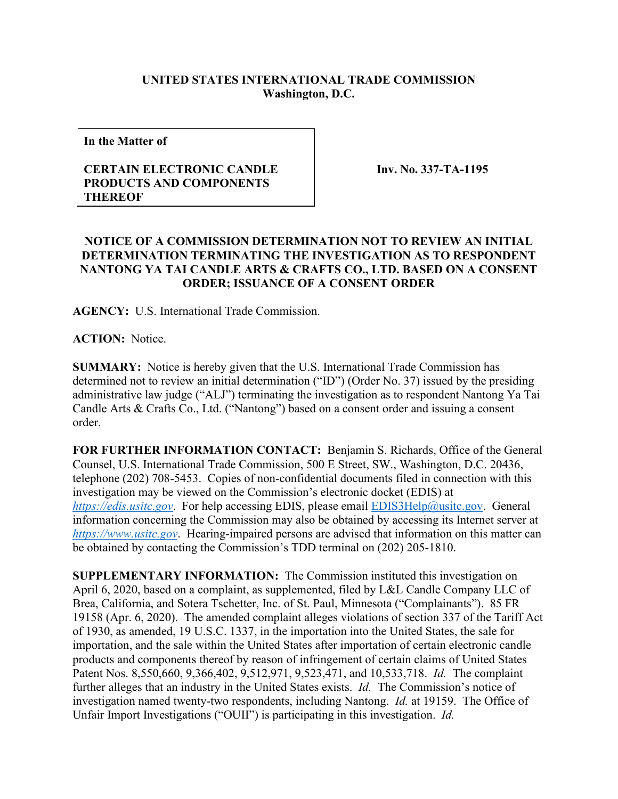## **UNITED STATES INTERNATIONAL TRADE COMMISSION Washington, D.C.**

**In the Matter of**

## **CERTAIN ELECTRONIC CANDLE PRODUCTS AND COMPONENTS THEREOF**

**Inv. No. 337-TA-1195**

## **NOTICE OF A COMMISSION DETERMINATION NOT TO REVIEW AN INITIAL DETERMINATION TERMINATING THE INVESTIGATION AS TO RESPONDENT NANTONG YA TAI CANDLE ARTS & CRAFTS CO., LTD. BASED ON A CONSENT ORDER; ISSUANCE OF A CONSENT ORDER**

**AGENCY:** U.S. International Trade Commission.

**ACTION:** Notice.

**SUMMARY:** Notice is hereby given that the U.S. International Trade Commission has determined not to review an initial determination ("ID") (Order No. 37) issued by the presiding administrative law judge ("ALJ") terminating the investigation as to respondent Nantong Ya Tai Candle Arts & Crafts Co., Ltd. ("Nantong") based on a consent order and issuing a consent order.

**FOR FURTHER INFORMATION CONTACT:** Benjamin S. Richards, Office of the General Counsel, U.S. International Trade Commission, 500 E Street, SW., Washington, D.C. 20436, telephone (202) 708-5453. Copies of non-confidential documents filed in connection with this investigation may be viewed on the Commission's electronic docket (EDIS) at *[https://edis.usitc.gov](https://edis.usitc.gov/)*. For help accessing EDIS, please email [EDIS3Help@usitc.gov.](mailto:EDIS3Help@usitc.gov) General information concerning the Commission may also be obtained by accessing its Internet server at *[https://www.usitc.gov](https://www.usitc.gov/)*. Hearing-impaired persons are advised that information on this matter can be obtained by contacting the Commission's TDD terminal on (202) 205-1810.

**SUPPLEMENTARY INFORMATION:** The Commission instituted this investigation on April 6, 2020, based on a complaint, as supplemented, filed by L&L Candle Company LLC of Brea, California, and Sotera Tschetter, Inc. of St. Paul, Minnesota ("Complainants"). 85 FR 19158 (Apr. 6, 2020). The amended complaint alleges violations of section 337 of the Tariff Act of 1930, as amended, 19 U.S.C. 1337, in the importation into the United States, the sale for importation, and the sale within the United States after importation of certain electronic candle products and components thereof by reason of infringement of certain claims of United States Patent Nos. 8,550,660, 9,366,402, 9,512,971, 9,523,471, and 10,533,718. *Id.* The complaint further alleges that an industry in the United States exists. *Id.* The Commission's notice of investigation named twenty-two respondents, including Nantong. *Id.* at 19159. The Office of Unfair Import Investigations ("OUII") is participating in this investigation. *Id.*